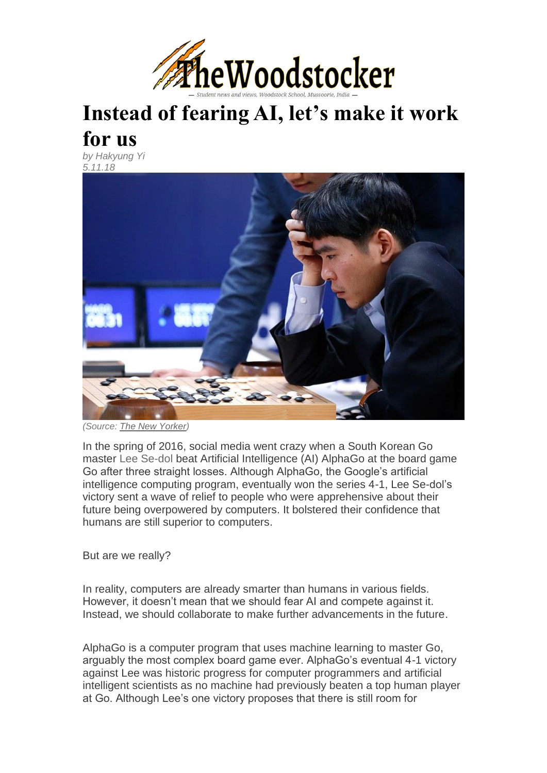

## **Instead of fearing AI, let's make it work for us**

*by [Hakyung Yi](https://thewoodstocker.com/author/hakyungyi/) 5.11.18*



*(Source: [The New Yorker\)](https://www.newyorker.com/tech/annals-of-technology/alphago-lee-sedol-and-the-reassuring-future-of-humans-and-machines)*

In the spring of 2016, social media went crazy when a South Korean Go master [Lee Se-dol](https://www.nytimes.com/2016/03/14/world/asia/south-korean-gets-priceless-victory-over-computer-in-go-match.html) beat Artificial Intelligence (AI) AlphaGo at the board game Go after three straight losses. Although AlphaGo, the Google's artificial intelligence computing program, eventually won the series 4-1, Lee Se-dol's victory sent a wave of relief to people who were apprehensive about their future being overpowered by computers. It bolstered their confidence that humans are still superior to computers.

But are we really?

In reality, computers are already smarter than humans in various fields. However, it doesn't mean that we should fear AI and compete against it. Instead, we should collaborate to make further advancements in the future.

AlphaGo is a computer program that uses machine learning to master Go, arguably the most complex board game ever. AlphaGo's eventual 4-1 victory against Lee was historic progress for computer programmers and artificial intelligent scientists as no machine had previously beaten a top human player at Go. Although Lee's one victory proposes that there is still room for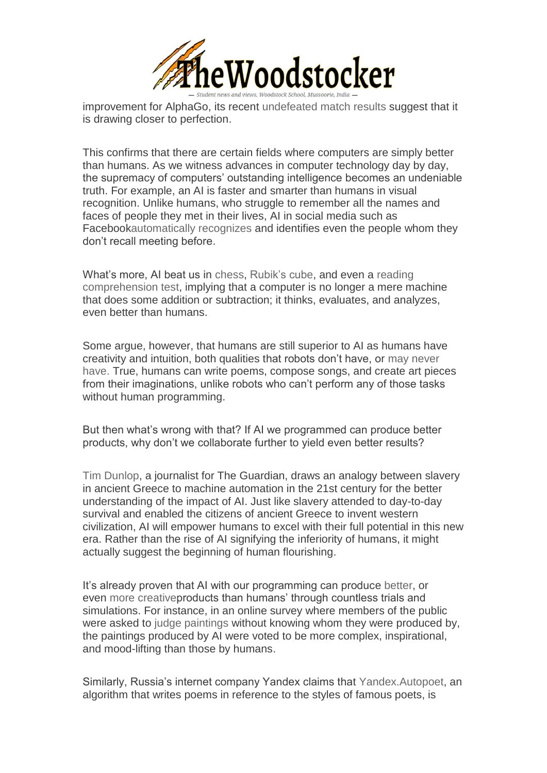

improvement for AlphaGo, its recent [undefeated match results](https://www.theatlantic.com/technology/archive/2017/10/alphago-zero-the-ai-that-taught-itself-go/543450/) suggest that it is drawing closer to perfection.

This confirms that there are certain fields where computers are simply better than humans. As we witness advances in computer technology day by day, the supremacy of computers' outstanding intelligence becomes an undeniable truth. For example, an AI is faster and smarter than humans in visual recognition. Unlike humans, who struggle to remember all the names and faces of people they met in their lives, AI in social media such as Faceboo[kautomatically recognizes](https://gizmodo.com/facebooks-new-face-recognition-features-what-we-do-an-1823359911) and identifies even the people whom they don't recall meeting before.

What's more, AI beat us in [chess,](https://www.theguardian.com/technology/2017/dec/07/alphazero-google-deepmind-ai-beats-champion-program-teaching-itself-to-play-four-hours) [Rubik's cube,](https://www.digitaltrends.com/cool-tech/robot-rubiks-cube-038-seconds/) and even a [reading](https://www.bloomberg.com/news/articles/2018-01-15/alibaba-s-ai-outgunned-humans-in-key-stanford-reading-test)  [comprehension test,](https://www.bloomberg.com/news/articles/2018-01-15/alibaba-s-ai-outgunned-humans-in-key-stanford-reading-test) implying that a computer is no longer a mere machine that does some addition or subtraction; it thinks, evaluates, and analyzes, even better than humans.

Some argue, however, that humans are still superior to AI as humans have creativity and intuition, both qualities that robots don't have, or [may never](http://time.com/4960778/computers-smarter-than-humans/)  [have.](http://time.com/4960778/computers-smarter-than-humans/) True, humans can write poems, compose songs, and create art pieces from their imaginations, unlike robots who can't perform any of those tasks without human programming.

But then what's wrong with that? If AI we programmed can produce better products, why don't we collaborate further to yield even better results?

[Tim Dunlop,](https://www.theguardian.com/sustainable-business/2017/jun/01/if-humans-are-no-longer-the-smartest-creatures-on-the-planet-we-can-reimagine-our-lives) a journalist for The Guardian, draws an analogy between slavery in ancient Greece to machine automation in the 21st century for the better understanding of the impact of AI. Just like slavery attended to day-to-day survival and enabled the citizens of ancient Greece to invent western civilization, AI will empower humans to excel with their full potential in this new era. Rather than the rise of AI signifying the inferiority of humans, it might actually suggest the beginning of human flourishing.

It's already proven that AI with our programming can produce [better,](http://www.bbc.com/culture/story/20180112-is-this-the-worlds-first-good-robot-album) or even [more creativep](https://www.newscientist.com/article/2139184-artificially-intelligent-painters-invent-new-styles-of-art/)roducts than humans' through countless trials and simulations. For instance, in an online survey where members of the public were asked to [judge paintings](https://news.artnet.com/art-world/rutgers-artificial-intelligence-art-1019066) without knowing whom they were produced by, the paintings produced by AI were voted to be more complex, inspirational, and mood-lifting than those by humans.

Similarly, Russia's internet company Yandex claims that [Yandex.Autopoet,](https://yandex.ru/blog/company/73398) an algorithm that writes poems in reference to the styles of famous poets, is